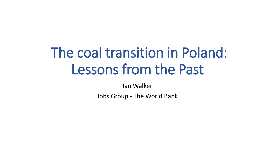# The coal transition in Poland: Lessons from the Past

Ian Walker

Jobs Group - The World Bank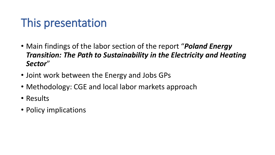### This presentation

- Main findings of the labor section of the report "*Poland Energy Transition: The Path to Sustainability in the Electricity and Heating Sector*"
- Joint work between the Energy and Jobs GPs
- Methodology: CGE and local labor markets approach
- Results
- Policy implications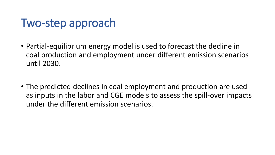### Two-step approach

- Partial-equilibrium energy model is used to forecast the decline in coal production and employment under different emission scenarios until 2030.
- The predicted declines in coal employment and production are used as inputs in the labor and CGE models to assess the spill-over impacts under the different emission scenarios.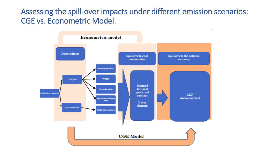### Assessing the spill-over impacts under different emission scenarios: CGE vs. Econometric Model.

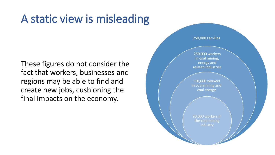### A static view is misleading

These figures do not consider the fact that workers, businesses and regions may be able to find and create new jobs, cushioning the final impacts on the economy.

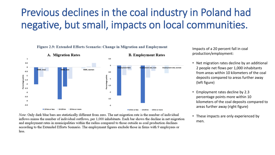### Previous declines in the coal industry in Poland had negative, but small, impacts on local communities.





Impacts of a 20 percent fall in coal production/employment:

- Net migration rates decline by an additional 2 people net flows per 1,000 inhabitants from areas within 10 kilometers of the coal deposits compared to areas further away (left figure)
- Employment rates decline by 2.3 percentage points more within 10 kilometers of the coal deposits compared to areas further away (right figure)
- These impacts are only experienced by men.

Note: Only dark blue bars are statistically different from zero. The net migration rate is the number of individual inflows minus the number of individual outflows, per 1,000 inhabitants. Each bar shows the decline in net migration and employment rates in municipalities within the radius compared to those outside as coal production declines according to the Extended Efforts Scenario. The employment figures exclude those in firms with 9 employees or less.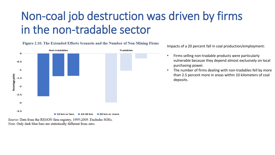## Non-coal job destruction was driven by firms in the non-tradable sector



Figure 2.10. The Extended Efforts Scenario and the Number of Non-Mining Firms

Impacts of a 20 percent fall in coal production/employment:

- Firms selling non-tradable products were particularly vulnerable because they depend almost exclusively on local purchasing power.
- The number of firms dealing with non-tradables fell by more than 2.5 percent more in areas within 10 kilometers of coal deposits.

Source: Data from the REGON firm registry, 1995-2009. Excludes SOEs. Note: Only dark blue bars are statistically different from zero.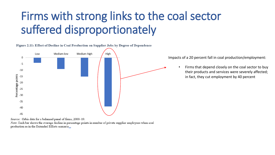## Firms with strong links to the coal sector suffered disproportionately



Figure 2.11: Effect of Decline in Coal Production on Supplier Jobs by Degree of Dependence

Impacts of a 20 percent fall in coal production/employment:

• Firms that depend closely on the coal sector to buy their products and services were severely affected; in fact, they cut employment by 40 percent

Source: Orbis data for a balanced panel of firms, 2000-19.

Note: Each bar shows the average decline in percentage points in number of private supplier employees when coal production as in the Extended Efforts scenario...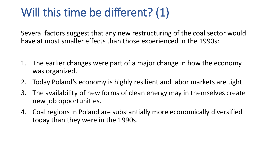## Will this time be different? (1)

Several factors suggest that any new restructuring of the coal sector would have at most smaller effects than those experienced in the 1990s:

- 1. The earlier changes were part of a major change in how the economy was organized.
- 2. Today Poland's economy is highly resilient and labor markets are tight
- 3. The availability of new forms of clean energy may in themselves create new job opportunities.
- 4. Coal regions in Poland are substantially more economically diversified today than they were in the 1990s.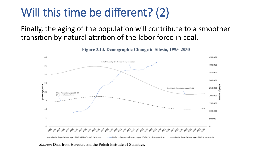### Will this time be different? (2)

Finally, the aging of the population will contribute to a smoother transition by natural attrition of the labor force in coal.

Figure 2.13. Demographic Change in Silesia, 1995-2030



Source: Data from Eurostat and the Polish Institute of Statistics.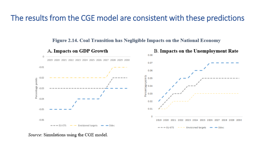### The results from the CGE model are consistent with these predictions



#### Figure 2.14. Coal Transition has Negligible Impacts on the National Economy

Source: Simulations using the CGE model.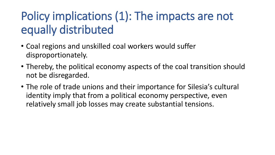# Policy implications (1): The impacts are not equally distributed

- Coal regions and unskilled coal workers would suffer disproportionately.
- Thereby, the political economy aspects of the coal transition should not be disregarded.
- The role of trade unions and their importance for Silesia's cultural identity imply that from a political economy perspective, even relatively small job losses may create substantial tensions.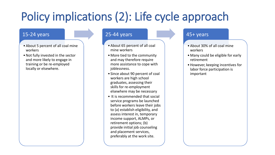# Policy implications (2): Life cycle approach

#### 15-24 years

- •About 5 percent of all coal mine workers
- •Not fully invested in the sector and more likely to engage in training or be re-employed locally or elsewhere.

#### 25-44 years

- •About 65 percent of all coal mine workers
- More tied to the community and may therefore require more assistance to cope with joblessness.
- Since about 90 percent of coal workers are high school graduates, assessing their skills for re-employment elsewhere may be necessary
- It is recommended that social service programs be launched before workers leave their jobs to (a) establish eligibility, and assess interest in, temporary income support, ALMPs, or retirement options; (b) provide initial job counseling and placement services, preferably at the work site.

#### 45+ years

- •About 30% of all coal mine workers
- Many could be eligible for early retirement
- •However, keeping incentives for labor force participation is important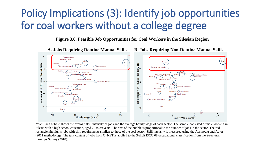### Policy Implications (3): Identify job opportunities for coal workers without a college degree

**Figure 3.6. Feasible Job Opportunities for Coal Workers in the Silesian Region**



*Note*: Each bubble shows the average skill intensity of jobs and the average hourly wage of each sector. The sample consisted of male workers in Silesia with a high school education, aged 20 to 39 years. The size of the bubble is proportional to the number of jobs in the sector. The red rectangle highlights jobs with skill requirements **similar** to those of the coal sector. Skill intensity is measured using the Acemoglu and Autor (2011 methodology. The task content of jobs from O\*NET is applied to the 3-digit ISCO 08 occupational classification from the Structural Earnings Survey (2010).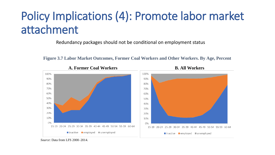# Policy Implications (4): Promote labor market attachment

Redundancy packages should not be conditional on employment status



**Figure 3.7 Labor Market Outcomes, Former Coal Workers and Other Workers. By Age, Percent**

*Source*: Data from LFS 2000–2014.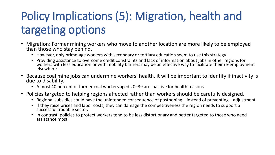# Policy Implications (5): Migration, health and targeting options

- Migration: Former mining workers who move to another location are more likely to be employed than those who stay behind.
	- However, only prime-age workers with secondary or tertiary education seem to use this strategy.
	- Providing assistance to overcome credit constraints and lack of information about jobs in other regions for workers with less education or with mobility barriers may be an effective way to facilitate their re-employment elsewhere.
- Because coal mine jobs can undermine workers' health, it will be important to identify if inactivity is due to disability.
	- Almost 40 percent of former coal workers aged 20–39 are inactive for health reasons
- Policies targeted to helping regions affected rather than workers should be carefully designed.
	- Regional subsidies could have the unintended consequence of postponing—instead of preventing—adjustment.
	- If they raise prices and labor costs, they can damage the competitiveness the region needs to support a successful tradable sector.
	- In contrast, policies to protect workers tend to be less distortionary and better targeted to those who need assistance most.